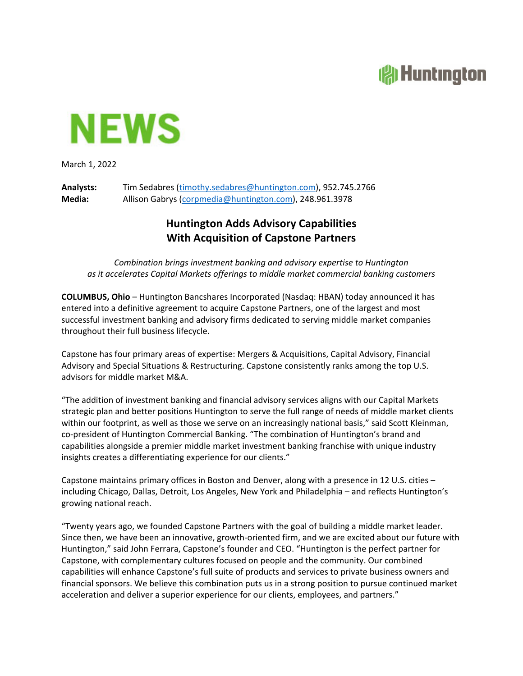## **All Huntington**



March 1, 2022

**Analysts:** Tim Sedabres (timothy.sedabres@huntington.com), 952.745.2766 **Media:** Allison Gabrys (corpmedia@huntington.com), 248.961.3978

## **Huntington Adds Advisory Capabilities With Acquisition of Capstone Partners**

*Combination brings investment banking and advisory expertise to Huntington as it accelerates Capital Markets offerings to middle market commercial banking customers*

**COLUMBUS, Ohio** – Huntington Bancshares Incorporated (Nasdaq: HBAN) today announced it has entered into a definitive agreement to acquire Capstone Partners, one of the largest and most successful investment banking and advisory firms dedicated to serving middle market companies throughout their full business lifecycle.

Capstone has four primary areas of expertise: Mergers & Acquisitions, Capital Advisory, Financial Advisory and Special Situations & Restructuring. Capstone consistently ranks among the top U.S. advisors for middle market M&A.

"The addition of investment banking and financial advisory services aligns with our Capital Markets strategic plan and better positions Huntington to serve the full range of needs of middle market clients within our footprint, as well as those we serve on an increasingly national basis," said Scott Kleinman, co‐president of Huntington Commercial Banking. "The combination of Huntington's brand and capabilities alongside a premier middle market investment banking franchise with unique industry insights creates a differentiating experience for our clients."

Capstone maintains primary offices in Boston and Denver, along with a presence in 12 U.S. cities – including Chicago, Dallas, Detroit, Los Angeles, New York and Philadelphia – and reflects Huntington's growing national reach.

"Twenty years ago, we founded Capstone Partners with the goal of building a middle market leader. Since then, we have been an innovative, growth‐oriented firm, and we are excited about our future with Huntington," said John Ferrara, Capstone's founder and CEO. "Huntington is the perfect partner for Capstone, with complementary cultures focused on people and the community. Our combined capabilities will enhance Capstone's full suite of products and services to private business owners and financial sponsors. We believe this combination puts us in a strong position to pursue continued market acceleration and deliver a superior experience for our clients, employees, and partners."